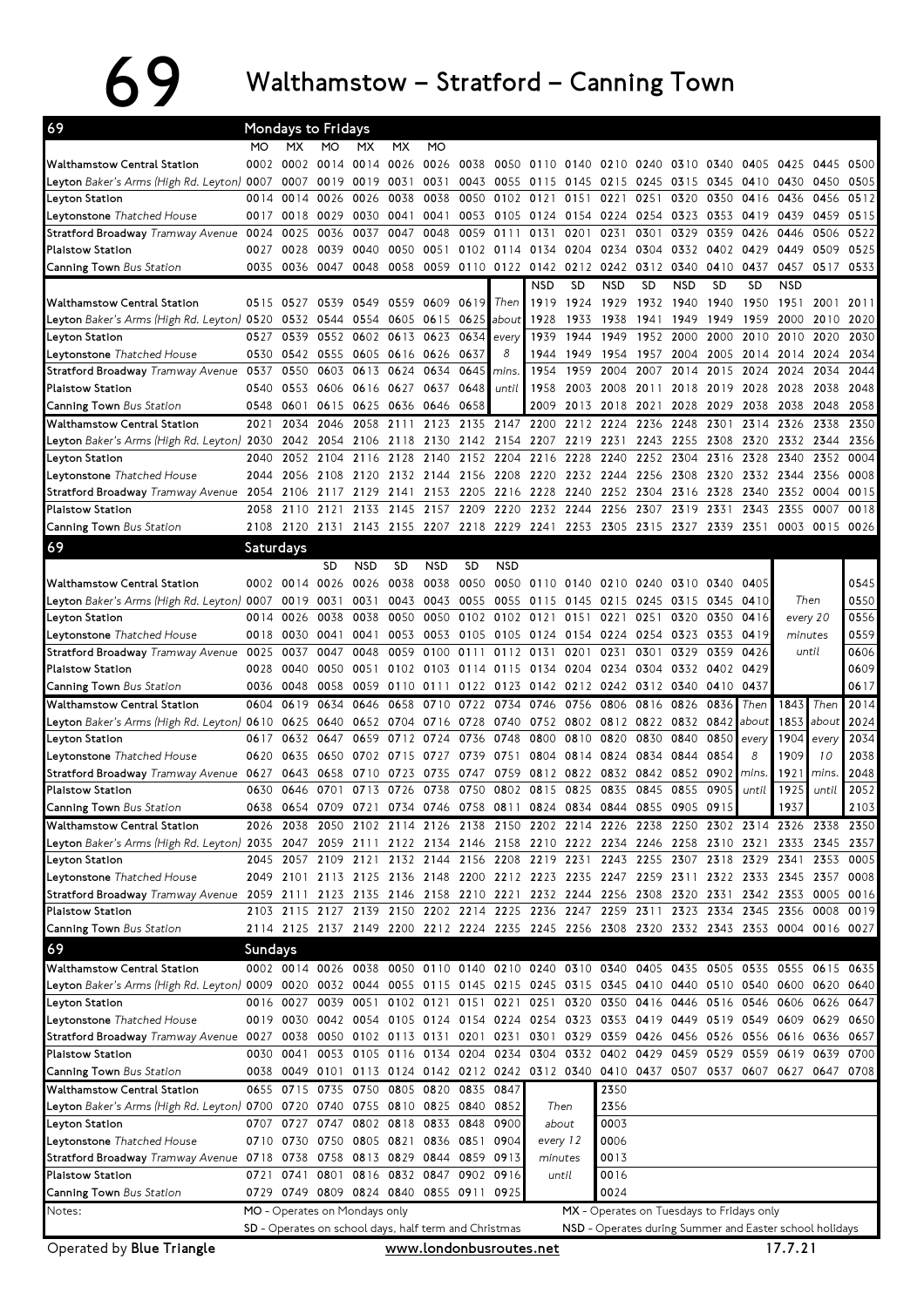## 69 Walthamstow – Stratford – Canning Town

| 69                                                                                                                              |           |           | Mondays to Fridays                                                                        |                               |                |            |                     |                |                                                                                 |           |                        |           |                                                         |                |           |                |                |              |
|---------------------------------------------------------------------------------------------------------------------------------|-----------|-----------|-------------------------------------------------------------------------------------------|-------------------------------|----------------|------------|---------------------|----------------|---------------------------------------------------------------------------------|-----------|------------------------|-----------|---------------------------------------------------------|----------------|-----------|----------------|----------------|--------------|
|                                                                                                                                 | МO        | <b>MX</b> | МO                                                                                        | МX                            | MX             | МO         |                     |                |                                                                                 |           |                        |           |                                                         |                |           |                |                |              |
| <b>Walthamstow Central Station</b>                                                                                              |           | 0002 0002 |                                                                                           | 0014 0014 0026                |                | 0026       | 0038                |                | 0050 0110 0140 0210 0240                                                        |           |                        |           |                                                         | 0310 0340 0405 |           | 0425           | 0445 0500      |              |
| <b>Leyton</b> Baker's Arms (High Rd. Leyton) 0007                                                                               |           | 0007      | 0019                                                                                      | 0019                          | 0031           | 0031       | 0043                |                | 0055 0115                                                                       |           | 0145 0215 0245         |           | 0315                                                    |                | 0345 0410 | 0430           | 0450           | 0505         |
| Leyton Station                                                                                                                  | 0014      | 0014      | 0026                                                                                      | 0026                          | 0038           | 0038       | 0050                |                | 0102 0121                                                                       | 0151      | 0221                   | 0251      | 0320                                                    | 0350           | 0416      | 0436           | 0456           | 0512         |
| Leytonstone Thatched House                                                                                                      |           | 0017 0018 | 0029                                                                                      | 0030                          | 0041           | 0041       |                     |                | 0053 0105 0124 0154 0224 0254 0323 0353 0419                                    |           |                        |           |                                                         |                |           | 0439 0459      |                | 0515         |
| Stratford Broadway Tramway Avenue 0024                                                                                          |           | 0025      | 0036                                                                                      | 0037                          | 0047           | 0048       | 0059                | 0111           | 0131                                                                            | 0201      | 0231                   | 0301      | 0329                                                    | 0359           | 0426      | 0446           | 0506           | 0522         |
| <b>Plaistow Station</b>                                                                                                         | 0027      | 0028      | 0039                                                                                      | 0040                          | 0050           | 0051       |                     |                | 0102 0114 0134 0204 0234 0304                                                   |           |                        |           | 0332                                                    |                | 0402 0429 | 0449           | 0509           | 0525         |
| <b>Canning Town</b> Bus Station                                                                                                 | 0035      | 0036      | 0047                                                                                      | 0048                          | 0058           |            | 0059 0110 0122 0142 |                |                                                                                 |           | 0212 0242              | 0312      | 0340                                                    | 0410           | 0437      | 0457           | 0517           | 0533         |
|                                                                                                                                 |           |           |                                                                                           |                               |                |            |                     |                | <b>NSD</b>                                                                      | <b>SD</b> | <b>NSD</b>             | <b>SD</b> | <b>NSD</b>                                              | <b>SD</b>      | <b>SD</b> | <b>NSD</b>     |                |              |
| <b>Walthamstow Central Station</b>                                                                                              |           | 0515 0527 | 0539                                                                                      | 0549 0559                     |                | 0609       | 0619                | Then           | 1919                                                                            | 1924      | 1929                   | 1932      | 1940                                                    | 1940           | 1950      | 1951           | 2001           | 2011         |
| L <b>eyton</b> Baker's Arms (High Rd. Leyton) <b>05</b> 20 <b>05</b> 32                                                         |           |           | 0544                                                                                      |                               | 0554 0605 0615 |            | 0625                | about          | 1928                                                                            | 1933      | 1938                   | 1941      | 1949                                                    | 1949           | 1959      | 2000           | 2010           | 2020         |
| Leyton Station                                                                                                                  | 0527      | 0539      |                                                                                           | 0552 0602 0613                |                | 0623       | 0634                | every          | 1939                                                                            | 1944      | 1949                   | 1952      | 2000                                                    | 2000           | 2010      | 2010           | 2020           | 2030         |
| <b>Leytonstone</b> Thatched House                                                                                               | 0530      | 0542      | 0555                                                                                      | 0605 0616 0626                |                |            | 0637                | 8              | 1944                                                                            | 1949      | 1954                   | 1957      | 2004                                                    | 2005           | 2014      | 2014           | 2024           | 2034         |
| <b>Stratford Broadway</b> Tramway Avenue                                                                                        | 0537      | 0550      | 0603                                                                                      | 0613                          | 0624           | 0634       | 0645                | mins.          | 1954                                                                            | 1959      | 2004                   | 2007      | 2014                                                    | 2015           | 2024      | 2024           | 2034           | 2044         |
| <b>Plaistow Station</b>                                                                                                         |           | 0540 0553 | 0606                                                                                      | 0616 0627                     |                | 0637       | 0648                | until          | 1958                                                                            |           | 2003 2008 2011         |           | 2018                                                    | 2019 2028      |           | 2028           | 2038           | 2048         |
| <b>Canning Town</b> Bus Station                                                                                                 | 0548      | 0601      | 0615                                                                                      | 0625 0636 0646                |                |            | 0658                |                | 2009                                                                            |           | 2013 2018 2021         |           | 2028                                                    | 2029           | 2038      | 2038           | 2048           | 2058         |
| <b>Walthamstow Central Station</b>                                                                                              | 2021      | 2034      | 2046                                                                                      | 2058                          | 2111           | 2123       | 2135                | 2147 2200      |                                                                                 |           | 2212 2224              | 2236      | 2248                                                    | 2301           | 2314      | 2326           | 2338           | 2350         |
| L <b>eyton</b> Baker's Arms (High Rd. Leyton) 2030                                                                              |           | 2042      | 2054                                                                                      |                               | 2106 2118      | 2130       |                     |                | 2142 2154 2207 2219 2231                                                        |           |                        | 2243      | 2255                                                    | 2308           | 2320      |                | 2332 2344      | 2356         |
| Leyton Station                                                                                                                  | 2040      | 2052      | 2104                                                                                      | 2116                          | 2128           | 2140       | 2152                | 2204 2216      |                                                                                 | 2228      | 2240                   | 2252      | 2304                                                    | 2316           | 2328      | 2340           | 2352           | 0004         |
| <b>Leytonstone</b> Thatched House                                                                                               | 2044      | 2056      | 2108                                                                                      | 2120                          | 2132 2144      |            |                     | 2156 2208 2220 |                                                                                 |           | 2232 2244              | 2256      | 2308                                                    | 2320           | 2332 2344 |                | 2356           | 0008         |
| Stratford Broadway Tramway Avenue 2054                                                                                          |           | 2106      | 2117 2129                                                                                 |                               | 2141           | 2153       | 2205                | 2216 2228      |                                                                                 |           | 2240 2252 2304         |           | 2316                                                    | 2328           | 2340      | 2352           | 0004           | 0015         |
| Plaistow Station                                                                                                                | 2058      | 2110      | 2121                                                                                      | 2133                          | 2145           | 2157       | 2209                | 2220           | 2232                                                                            | 2244      | 2256 2307              |           | 2319                                                    | 2331           | 2343      | 2355           | 0007           | 0018         |
| <b>Canning Town</b> Bus Station                                                                                                 |           | 2108 2120 | 2131                                                                                      |                               |                |            |                     |                | 2143 2155 2207 2218 2229 2241 2253 2305 2315 2327 2339 2351                     |           |                        |           |                                                         |                |           |                | 0003 0015 0026 |              |
| 69                                                                                                                              | Saturdays |           |                                                                                           |                               |                |            |                     |                |                                                                                 |           |                        |           |                                                         |                |           |                |                |              |
|                                                                                                                                 |           |           | SD                                                                                        | <b>NSD</b>                    | SD             | <b>NSD</b> | <b>SD</b>           | <b>NSD</b>     |                                                                                 |           |                        |           |                                                         |                |           |                |                |              |
| <b>Walthamstow Central Station</b>                                                                                              |           | 0002 0014 | 0026                                                                                      | 0026                          | 0038           | 0038       | 0050                |                | 0050 0110 0140 0210 0240                                                        |           |                        |           | 0310                                                    | 0340           | 0405      |                |                | 0545         |
| Leyton Baker's Arms (High Rd. Leyton) 0007 0019                                                                                 |           |           | 0031                                                                                      | 0031                          | 0043           | 0043       | 0055                |                | 0055 0115                                                                       |           | 0145 0215 0245         |           | 0315                                                    | 0345 0410      |           | Then           |                | 0550         |
| Leyton Station                                                                                                                  |           | 0014 0026 | 0038                                                                                      | 0038                          | 0050           | 0050       | 0102                | 0102 0121      |                                                                                 | 0151      | 0221                   | 0251      | 0320                                                    | 0350           | 0416      | every 20       |                | 0556         |
| <b>Leytonstone</b> Thatched House                                                                                               |           | 0018 0030 | 0041                                                                                      | 0041                          | 0053           | 0053       | 0105 0105 0124      |                |                                                                                 |           | 0154 0224 0254         |           | 0323 0353 0419                                          |                |           | minutes        |                | 0559         |
| Stratford Broadway Tramway Avenue 0025 0037                                                                                     |           |           | 0047                                                                                      | 0048                          | 0059           | 0100       | 0111                |                | 0112 0131                                                                       | 0201      | 0231                   | 0301      | 0329                                                    | 0359           | 0426      | until          |                | 0606         |
| <b>Plaistow Station</b>                                                                                                         | 0028      | 0040      | 0050                                                                                      | 0051                          | 0102           | 0103       |                     |                | 0114 0115 0134 0204                                                             |           | 0234 0304              |           | 0332                                                    | 0402 0429      |           |                |                | 0609         |
| Canning Town Bus Station                                                                                                        |           | 0036 0048 | 0058                                                                                      | 0059                          | 0110 0111      |            |                     | 0122 0123 0142 |                                                                                 |           | 0212 0242 0312         |           | 0340                                                    | 0410 0437      |           |                |                | 0617         |
|                                                                                                                                 |           |           |                                                                                           |                               |                |            |                     |                |                                                                                 |           |                        |           |                                                         |                |           |                |                |              |
| <b>Walthamstow Central Station</b>                                                                                              | 0604      | 0619      | 0634                                                                                      | 0646                          | 0658           | 0710       |                     | 0722 0734 0746 |                                                                                 | 0756      | 0806                   | 0816      | 0826                                                    | 0836           | Then      | 1843           | Then           | 2014         |
|                                                                                                                                 |           |           | 0640                                                                                      |                               | 0652 0704      | 0716       |                     | 0740 0752      |                                                                                 |           | 0802 0812 0822         |           | 0832 0842                                               |                | about     | 1853           | about          | 2024         |
| <b>Leyton</b> Baker's Arms (High Rd. Leyton) <b>06</b> 10 <b>06</b> 25                                                          | 0617      | 0632      | 0647                                                                                      | 0659                          |                | 0724       | 0728                |                | 0800                                                                            |           |                        |           | 0840                                                    | 0850           | every     |                |                |              |
| Leyton Station<br>Leytonstone Thatched House                                                                                    |           | 0620 0635 | 0650                                                                                      | 0702 0715                     | 0712           | 0727       | 0736<br>0739        | 0748<br>0751   | 0804                                                                            | 0810      | 0820<br>0814 0824 0834 | 0830      | 0844                                                    | 0854           | 8         | 1904<br>1909   | every<br>10    | 2034<br>2038 |
|                                                                                                                                 |           | 0643      | 0658                                                                                      | 0710                          | 0723           | 0735       | 0747                |                | 0759 0812                                                                       | 0822      | 0832                   | 0842      | 0852                                                    | 0902           | mins.     | 1921           | mins.          | 2048         |
| Stratford Broadway Tramway Avenue 0627<br><b>Plaistow Station</b>                                                               | 0630      | 0646      | 0701                                                                                      |                               | 0713 0726      | 0738       | 0750                |                | 0802 0815                                                                       | 0825      | 0835                   | 0845      | 0855                                                    | 0905           | until     | 1925           | until          | 2052         |
|                                                                                                                                 |           |           | 0638 0654 0709 0721 0734 0746 0758 0811 0824 0834 0844 0855 0905 0915                     |                               |                |            |                     |                |                                                                                 |           |                        |           |                                                         |                |           | 1937           |                |              |
| Canning Town Bus Station<br>Walthamstow Central Station                                                                         |           |           |                                                                                           |                               |                |            |                     |                |                                                                                 |           |                        |           |                                                         |                |           |                |                | 2103         |
|                                                                                                                                 |           |           | 2026 2038 2050 2102 2114 2126 2138 2150 2202 2214 2226 2238 2250 2302 2314 2326 2338 2350 |                               |                |            |                     |                |                                                                                 |           |                        |           |                                                         |                |           |                |                |              |
| L <b>eyton</b> Baker's Arms (High Rd. Leyton) <b>20</b> 35 <b>20</b> 47                                                         |           | 2045 2057 |                                                                                           | 2109 2121                     |                | 2132 2144  |                     |                | 2059 2111 2122 2134 2146 2158 2210 2222 2234 2246 2258 2310 2321 2333 2345 2357 |           |                        |           | 2243 2255 2307 2318 2329 2341                           |                |           |                | 2353           | 0005         |
| Leyton Station                                                                                                                  |           |           |                                                                                           |                               |                |            |                     |                | 2156 2208 2219 2231                                                             |           |                        |           |                                                         |                |           |                |                | 0008         |
| <b>Leytonstone</b> Thatched House                                                                                               |           |           | 2049 2101 2113 2125 2136 2148 2200 2212 2223 2235 2247 2259 2311 2322 2333 2345 2357      |                               |                |            |                     |                |                                                                                 |           |                        |           |                                                         |                |           |                | 0005           | 0016         |
| Stratford Broadway Tramway Avenue 2059 2111<br>Plaistow Station                                                                 |           |           | 2103 2115 2127 2139 2150 2202 2214 2225 2236 2247 2259 2311 2323 2334 2345 2356 0008      |                               |                |            |                     |                | 2123 2135 2146 2158 2210 2221 2232 2244 2256 2308 2320 2331                     |           |                        |           |                                                         |                |           | 2342 2353      |                | 0019         |
| Canning Town Bus Station                                                                                                        |           |           | 2114 2125 2137 2149 2200 2212 2224 2235 2245 2256 2308 2320 2332 2343 2353 0004 0016 0027 |                               |                |            |                     |                |                                                                                 |           |                        |           |                                                         |                |           |                |                |              |
|                                                                                                                                 |           |           |                                                                                           |                               |                |            |                     |                |                                                                                 |           |                        |           |                                                         |                |           |                |                |              |
| 69                                                                                                                              | Sundays   |           |                                                                                           |                               |                |            |                     |                |                                                                                 |           |                        |           |                                                         |                |           |                |                |              |
| Walthamstow Central Station                                                                                                     |           |           | 0002 0014 0026 0038 0050 0110 0140 0210 0240 0310 0340 0405 0435 0505 0535 0555 0615 0635 |                               |                |            |                     |                |                                                                                 |           |                        |           |                                                         |                |           |                |                |              |
| Leyton Baker's Arms (High Rd. Leyton) 0009 0020 0032 0044 0055 0115 0145 0215 0245 0315 0345 0410 0440 0510 0540 0600 0620 0640 |           |           |                                                                                           |                               |                |            |                     |                |                                                                                 |           |                        |           |                                                         |                |           |                |                |              |
| Leyton Station                                                                                                                  |           | 0016 0027 |                                                                                           |                               |                |            |                     |                | 0039 0051 0102 0121 0151 0221 0251 0320 0350 0416 0446 0516 0546                |           |                        |           |                                                         |                |           | 0606 0626 0647 |                |              |
| Leytonstone Thatched House                                                                                                      |           |           | 0019 0030 0042 0054 0105 0124 0154 0224 0254 0323 0353 0419 0449 0519 0549 0609 0629 0650 |                               |                |            |                     |                |                                                                                 |           |                        |           |                                                         |                |           |                |                |              |
| Stratford Broadway Tramway Avenue 0027 0038                                                                                     |           |           |                                                                                           |                               |                |            |                     |                | 0050 0102 0113 0131 0201 0231 0301 0329 0359 0426 0456 0526 0556 0616 0636      |           |                        |           |                                                         |                |           |                |                | 0657         |
| <b>Plaistow Station</b>                                                                                                         |           | 0030 0041 |                                                                                           |                               |                |            |                     |                | 0053 0105 0116 0134 0204 0234 0304 0332 0402 0429 0459 0529 0559 0619 0639 0700 |           |                        |           |                                                         |                |           |                |                |              |
| <b>Canning Town</b> Bus Station                                                                                                 |           |           | 0038 0049 0101 0113 0124 0142 0212 0242 0312 0340 0410 0437 0507 0537 0607 0627 0647 0708 |                               |                |            |                     |                |                                                                                 |           |                        |           |                                                         |                |           |                |                |              |
| Walthamstow Central Station                                                                                                     |           | 0655 0715 |                                                                                           | 0735 0750 0805 0820 0835      |                |            |                     | 0847           |                                                                                 |           | 2350                   |           |                                                         |                |           |                |                |              |
| Leyton Baker's Arms (High Rd. Leyton) 0700 0720 0740 0755 0810 0825 0840                                                        |           |           |                                                                                           |                               |                |            |                     | 0852           |                                                                                 | Then      | 2356                   |           |                                                         |                |           |                |                |              |
| Leyton Station                                                                                                                  |           |           | 0707 0727 0747 0802 0818 0833 0848                                                        |                               |                |            |                     | 0900           |                                                                                 | about     | 0003                   |           |                                                         |                |           |                |                |              |
| L <b>eytonstone</b> Thatched House                                                                                              |           |           | 0710 0730 0750 0805 0821 0836 0851 0904                                                   |                               |                |            |                     |                | every 12                                                                        |           | 0006                   |           |                                                         |                |           |                |                |              |
| Stratford Broadway Tramway Avenue 0718 0738 0758 0813 0829 0844 0859 0913                                                       |           |           |                                                                                           |                               |                |            |                     |                | minutes                                                                         |           | 0013                   |           |                                                         |                |           |                |                |              |
| Plaistow Station                                                                                                                |           | 0721 0741 |                                                                                           | 0801 0816 0832 0847 0902 0916 |                |            |                     |                |                                                                                 | until     | 0016                   |           |                                                         |                |           |                |                |              |
| <b>Canning Town</b> Bus Station                                                                                                 |           |           | 0729 0749 0809 0824 0840 0855 0911 0925                                                   |                               |                |            |                     |                |                                                                                 |           | 0024                   |           |                                                         |                |           |                |                |              |
| Notes:                                                                                                                          |           |           | MO - Operates on Mondays only                                                             |                               |                |            |                     |                |                                                                                 |           |                        |           | MX - Operates on Tuesdays to Fridays only               |                |           |                |                |              |
| Operated by Blue Triangle                                                                                                       |           |           | SD - Operates on school days, half term and Christmas                                     |                               |                |            |                     |                | www.londonbusroutes.net                                                         |           |                        |           | NSD - Operates during Summer and Easter school holidays |                |           | 17.7.21        |                |              |